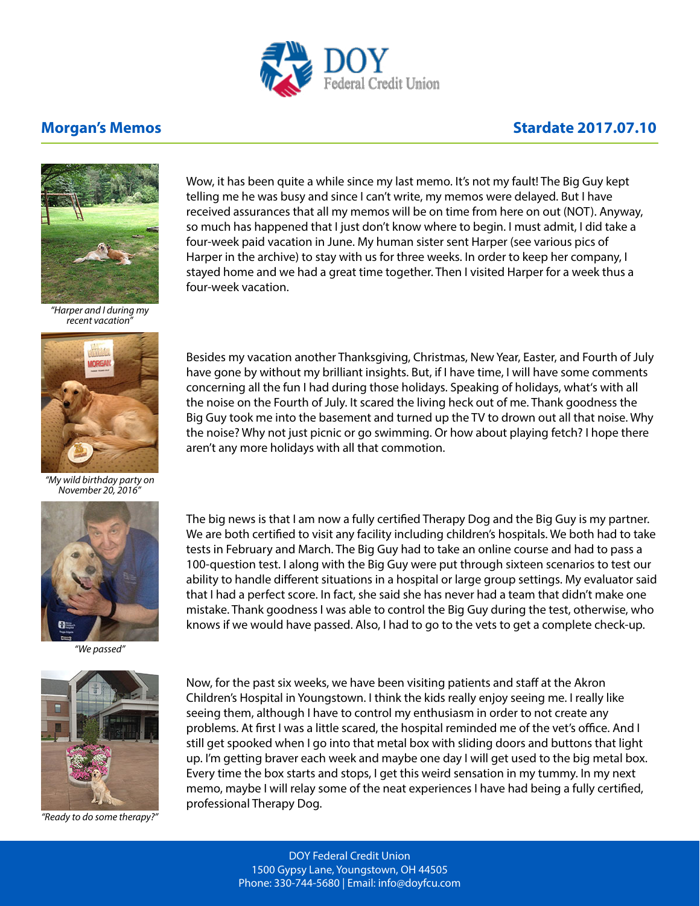

## **Morgan's Memos Matter 2017.07.10**



*"Harper and I during my recent vacation"*



*"My wild birthday party on November 20, 2016"*



*"We passed"*



*"Ready to do some therapy?"*

Wow, it has been quite a while since my last memo. It's not my fault! The Big Guy kept telling me he was busy and since I can't write, my memos were delayed. But I have received assurances that all my memos will be on time from here on out (NOT). Anyway, so much has happened that I just don't know where to begin. I must admit, I did take a four-week paid vacation in June. My human sister sent Harper (see various pics of Harper in the archive) to stay with us for three weeks. In order to keep her company, I stayed home and we had a great time together. Then I visited Harper for a week thus a four-week vacation.

Besides my vacation another Thanksgiving, Christmas, New Year, Easter, and Fourth of July have gone by without my brilliant insights. But, if I have time, I will have some comments concerning all the fun I had during those holidays. Speaking of holidays, what's with all the noise on the Fourth of July. It scared the living heck out of me. Thank goodness the Big Guy took me into the basement and turned up the TV to drown out all that noise. Why the noise? Why not just picnic or go swimming. Or how about playing fetch? I hope there aren't any more holidays with all that commotion.

The big news is that I am now a fully certified Therapy Dog and the Big Guy is my partner. We are both certified to visit any facility including children's hospitals. We both had to take tests in February and March. The Big Guy had to take an online course and had to pass a 100-question test. I along with the Big Guy were put through sixteen scenarios to test our ability to handle different situations in a hospital or large group settings. My evaluator said that I had a perfect score. In fact, she said she has never had a team that didn't make one mistake. Thank goodness I was able to control the Big Guy during the test, otherwise, who knows if we would have passed. Also, I had to go to the vets to get a complete check-up.

Now, for the past six weeks, we have been visiting patients and staff at the Akron Children's Hospital in Youngstown. I think the kids really enjoy seeing me. I really like seeing them, although I have to control my enthusiasm in order to not create any problems. At first I was a little scared, the hospital reminded me of the vet's office. And I still get spooked when I go into that metal box with sliding doors and buttons that light up. I'm getting braver each week and maybe one day I will get used to the big metal box. Every time the box starts and stops, I get this weird sensation in my tummy. In my next memo, maybe I will relay some of the neat experiences I have had being a fully certified, professional Therapy Dog.